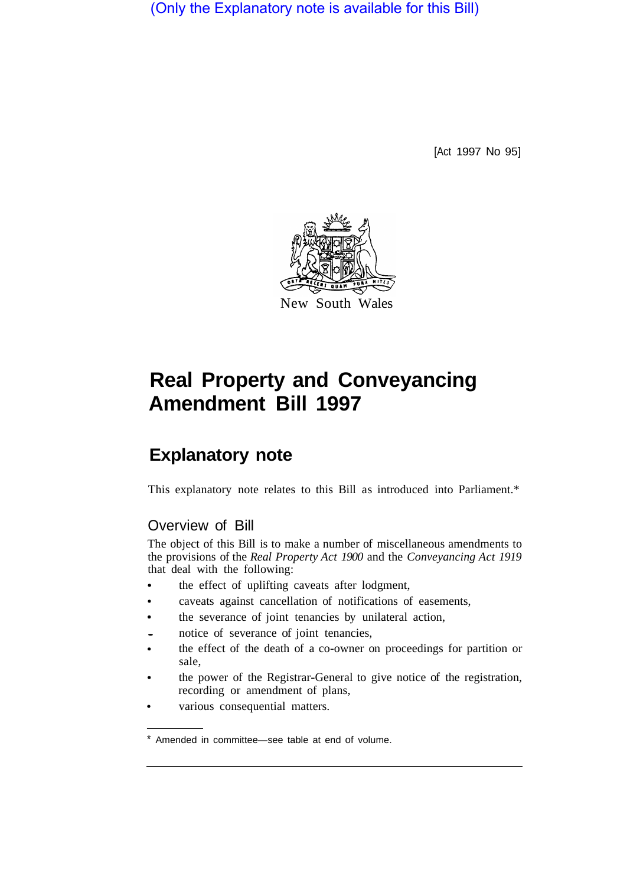(Only the Explanatory note is available for this Bill)

[Act 1997 No 95]



# **Real Property and Conveyancing Amendment Bill 1997**

## **Explanatory note**

This explanatory note relates to this Bill as introduced into Parliament.\*

## Overview of Bill

The object of this Bill is to make a number of miscellaneous amendments to the provisions of the *Real Property Act 1900* and the *Conveyancing Act 1919*  that deal with the following:

- the effect of uplifting caveats after lodgment,
- caveats against cancellation of notifications of easements,
- the severance of joint tenancies by unilateral action,
- notice of severance of joint tenancies,
- the effect of the death of a co-owner on proceedings for partition or sale,
- the power of the Registrar-General to give notice of the registration, recording or amendment of plans,
- various consequential matters.

Amended in committee—see table at end of volume.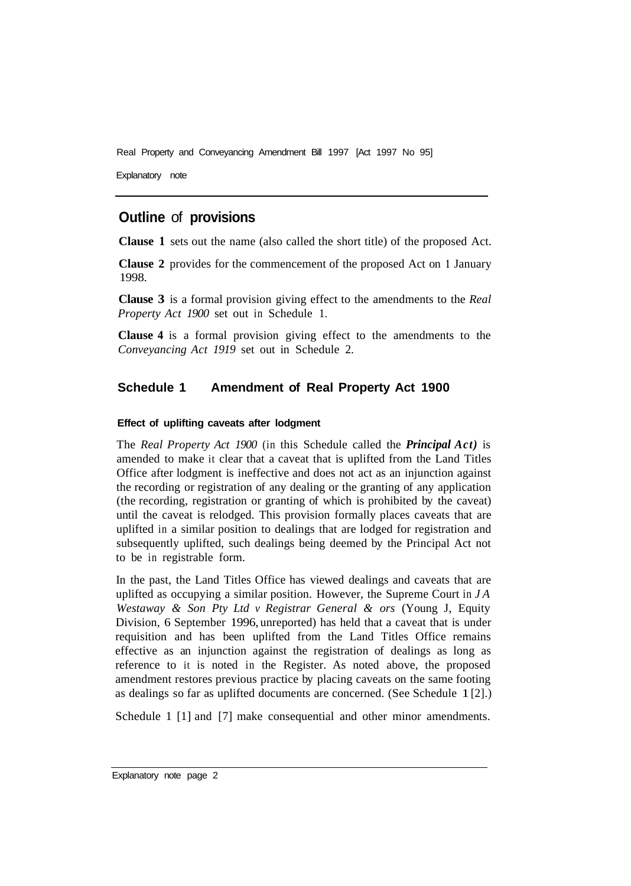Real Property and Conveyancing Amendment Bill 1997 [Act 1997 No 95]

Explanatory note

## **Outline** of **provisions**

**Clause 1** sets out the name (also called the short title) of the proposed Act.

**Clause 2** provides for the commencement of the proposed Act on **1** January 1998.

**Clause 3** is a formal provision giving effect to the amendments to the *Real Property Act 1900* set out in Schedule 1.

**Clause 4** is a formal provision giving effect to the amendments to the *Conveyancing Act 1919* set out in Schedule 2.

## **Schedule 1 Amendment of Real Property Act 1900**

#### **Effect of uplifting caveats after lodgment**

The *Real Property Act 1900* (in this Schedule called the *Principal Act)* is amended to make it clear that a caveat that is uplifted from the Land Titles Office after lodgment is ineffective and does not act as an injunction against the recording or registration of any dealing or the granting of any application (the recording, registration or granting of which is prohibited by the caveat) until the caveat is relodged. This provision formally places caveats that are uplifted in a similar position to dealings that are lodged for registration and subsequently uplifted, such dealings being deemed by the Principal Act not to be in registrable form.

In the past, the Land Titles Office has viewed dealings and caveats that are uplifted as occupying a similar position. However, the Supreme Court in *J A Westaway & Son Pty Ltd v Registrar General & ors* (Young J, Equity Division, 6 September 1996, unreported) has held that a caveat that is under requisition and has been uplifted from the Land Titles Office remains effective as an injunction against the registration of dealings as long as reference to it is noted in the Register. As noted above, the proposed amendment restores previous practice by placing caveats on the same footing as dealings so far as uplifted documents are concerned. (See Schedule 1 [2].)

Schedule 1 [1] and [7] make consequential and other minor amendments.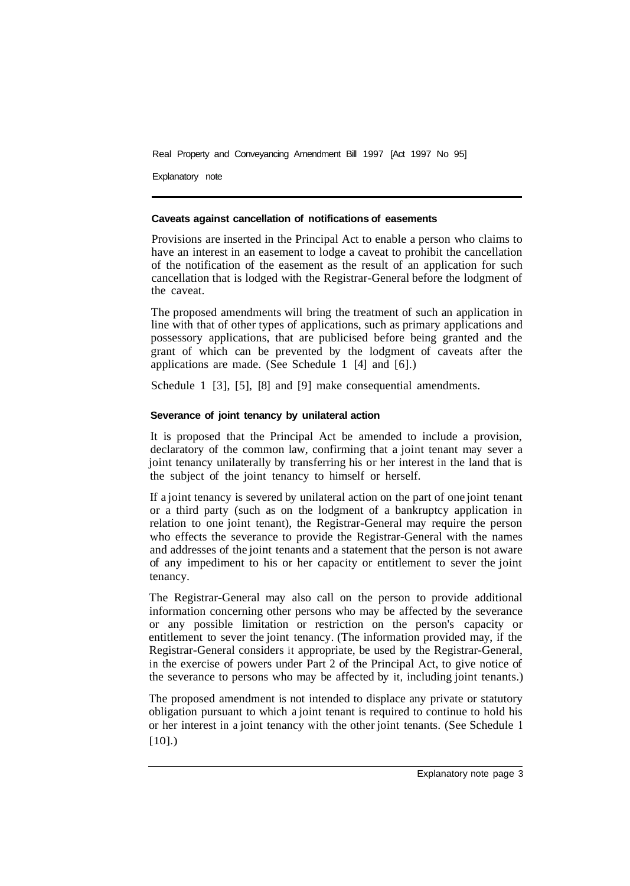Real Property and Conveyancing Amendment Bill 1997 [Act 1997 No 95]

Explanatory note

#### **Caveats against cancellation of notifications of easements**

Provisions are inserted in the Principal Act to enable a person who claims to have an interest in an easement to lodge a caveat to prohibit the cancellation of the notification of the easement as the result of an application for such cancellation that is lodged with the Registrar-General before the lodgment of the caveat.

The proposed amendments will bring the treatment of such an application in line with that of other types of applications, such as primary applications and possessory applications, that are publicised before being granted and the grant of which can be prevented by the lodgment of caveats after the applications are made. (See Schedule 1 [4] and [6].)

Schedule 1 [3], [5], [8] and [9] make consequential amendments.

#### **Severance of joint tenancy by unilateral action**

It is proposed that the Principal Act be amended to include a provision, declaratory of the common law, confirming that a joint tenant may sever a joint tenancy unilaterally by transferring his or her interest in the land that is the subject of the joint tenancy to himself or herself.

If a joint tenancy is severed by unilateral action on the part of one joint tenant or a third party (such as on the lodgment of a bankruptcy application in relation to one joint tenant), the Registrar-General may require the person who effects the severance to provide the Registrar-General with the names and addresses of the joint tenants and a statement that the person is not aware of any impediment to his or her capacity or entitlement to sever the joint tenancy.

The Registrar-General may also call on the person to provide additional information concerning other persons who may be affected by the severance or any possible limitation or restriction on the person's capacity or entitlement to sever the joint tenancy. (The information provided may, if the Registrar-General considers it appropriate, be used by the Registrar-General, in the exercise of powers under Part 2 of the Principal Act, to give notice of the severance to persons who may be affected by it, including joint tenants.)

The proposed amendment is not intended to displace any private or statutory obligation pursuant to which a joint tenant is required to continue to hold his or her interest in a joint tenancy with the other joint tenants. (See Schedule 1  $[10]$ .)